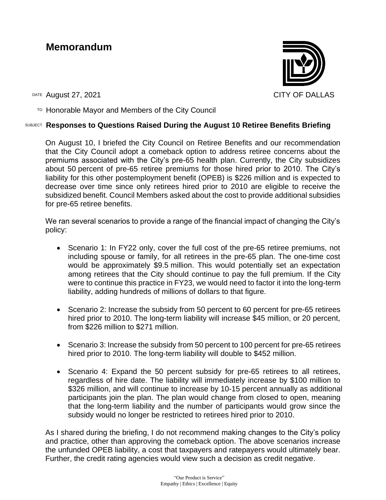## **Memorandum**



DATE August 27, 2021 CITY OF DALLAS

 $T$ <sup>O</sup> Honorable Mayor and Members of the City Council

## SUBJECT **Responses to Questions Raised During the August 10 Retiree Benefits Briefing**

On August 10, I briefed the City Council on Retiree Benefits and our recommendation that the City Council adopt a comeback option to address retiree concerns about the premiums associated with the City's pre-65 health plan. Currently, the City subsidizes about 50 percent of pre-65 retiree premiums for those hired prior to 2010. The City's liability for this other postemployment benefit (OPEB) is \$226 million and is expected to decrease over time since only retirees hired prior to 2010 are eligible to receive the subsidized benefit. Council Members asked about the cost to provide additional subsidies for pre-65 retiree benefits.

We ran several scenarios to provide a range of the financial impact of changing the City's policy:

- Scenario 1: In FY22 only, cover the full cost of the pre-65 retiree premiums, not including spouse or family, for all retirees in the pre-65 plan. The one-time cost would be approximately \$9.5 million. This would potentially set an expectation among retirees that the City should continue to pay the full premium. If the City were to continue this practice in FY23, we would need to factor it into the long-term liability, adding hundreds of millions of dollars to that figure.
- Scenario 2: Increase the subsidy from 50 percent to 60 percent for pre-65 retirees hired prior to 2010. The long-term liability will increase \$45 million, or 20 percent, from \$226 million to \$271 million.
- Scenario 3: Increase the subsidy from 50 percent to 100 percent for pre-65 retirees hired prior to 2010. The long-term liability will double to \$452 million.
- Scenario 4: Expand the 50 percent subsidy for pre-65 retirees to all retirees, regardless of hire date. The liability will immediately increase by \$100 million to \$326 million, and will continue to increase by 10-15 percent annually as additional participants join the plan. The plan would change from closed to open, meaning that the long-term liability and the number of participants would grow since the subsidy would no longer be restricted to retirees hired prior to 2010.

As I shared during the briefing, I do not recommend making changes to the City's policy and practice, other than approving the comeback option. The above scenarios increase the unfunded OPEB liability, a cost that taxpayers and ratepayers would ultimately bear. Further, the credit rating agencies would view such a decision as credit negative.